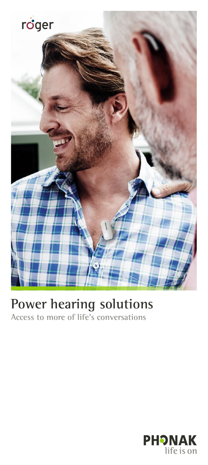

# **Power hearing solutions**

**Access to more of life's conversations**

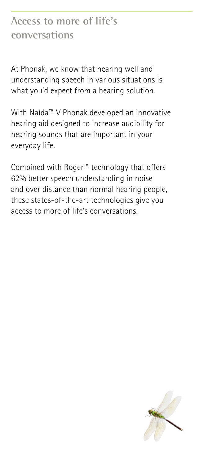## **Access to more of life's conversations**

At Phonak, we know that hearing well and understanding speech in various situations is what you'd expect from a hearing solution.

With Naída™ V Phonak developed an innovative hearing aid designed to increase audibility for hearing sounds that are important in your everyday life.

Combined with Roger™ technology that offers 62% better speech understanding in noise and over distance than normal hearing people, these states-of-the-art technologies give you access to more of life's conversations.

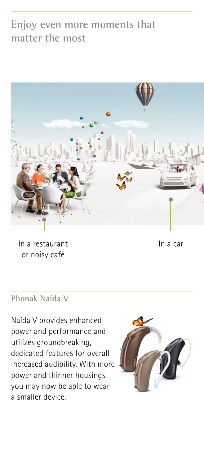## **Enjoy even more moments that matter the most**



In a restaurant in a car or noisy café

#### **Phonak Naída V**

Naída V provides enhanced power and performance and utilizes groundbreaking, dedicated features for overall increased audibility. With more power and thinner housings, you may now be able to wear a smaller device.

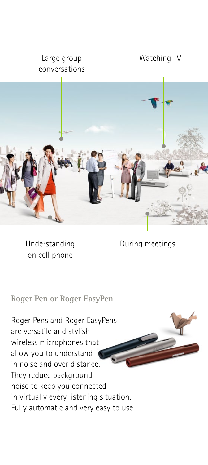#### Large group conversations

#### Watching TV



Understanding on cell phone

During meetings

#### **Roger Pen or Roger EasyPen**

Roger Pens and Roger EasyPens are versatile and stylish wireless microphones that allow you to understand in noise and over distance. They reduce background noise to keep you connected in virtually every listening situation. Fully automatic and very easy to use.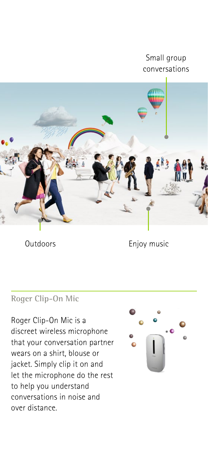#### Small group conversations



Outdoors Enjoy music

#### **Roger Clip-On Mic**

Roger Clip-On Mic is a discreet wireless microphone that your conversation partner wears on a shirt, blouse or jacket. Simply clip it on and let the microphone do the rest to help you understand conversations in noise and over distance.

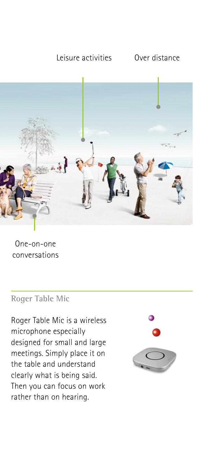#### Leisure activities Over distance



One-on-one conversations

#### **Roger Table Mic**

Roger Table Mic is a wireless microphone especially designed for small and large meetings. Simply place it on the table and understand clearly what is being said. Then you can focus on work rather than on hearing.

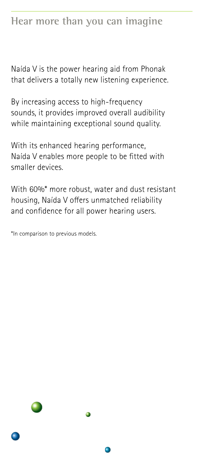## **Hear more than you can imagine**

Naída V is the power hearing aid from Phonak that delivers a totally new listening experience.

By increasing access to high-frequency sounds, it provides improved overall audibility while maintaining exceptional sound quality.

With its enhanced hearing performance, Naída V enables more people to be fitted with smaller devices.

With 60%\* more robust, water and dust resistant housing, Naída V offers unmatched reliability and confidence for all power hearing users.

\*In comparison to previous models.